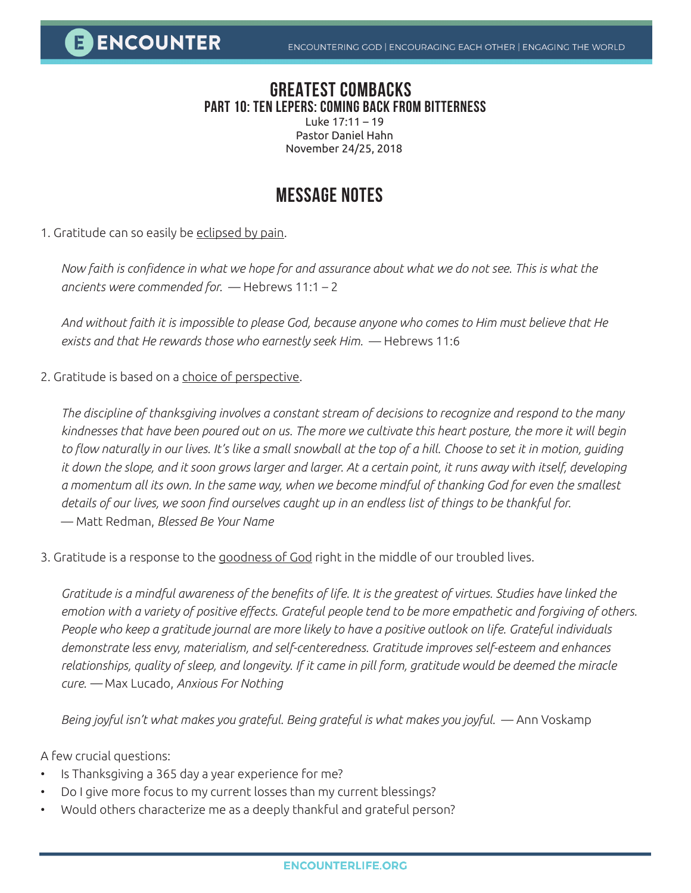## **GREATEST COMBACKS PART 10: TEN LEPERS: COMING BACK FROM BITTERNESS**

Luke 17:11 – 19 Pastor Daniel Hahn November 24/25, 2018

## **MESSAGE NOTES**

1. Gratitude can so easily be eclipsed by pain.

*Now faith is confidence in what we hope for and assurance about what we do not see. This is what the ancients were commended for.* — Hebrews 11:1 – 2

*And without faith it is impossible to please God, because anyone who comes to Him must believe that He exists and that He rewards those who earnestly seek Him.* — Hebrews 11:6

2. Gratitude is based on a choice of perspective.

*The discipline of thanksgiving involves a constant stream of decisions to recognize and respond to the many kindnesses that have been poured out on us. The more we cultivate this heart posture, the more it will begin to flow naturally in our lives. It's like a small snowball at the top of a hill. Choose to set it in motion, guiding it down the slope, and it soon grows larger and larger. At a certain point, it runs away with itself, developing a momentum all its own. In the same way, when we become mindful of thanking God for even the smallest details of our lives, we soon find ourselves caught up in an endless list of things to be thankful for.* — Matt Redman, *Blessed Be Your Name*

3. Gratitude is a response to the goodness of God right in the middle of our troubled lives.

*Gratitude is a mindful awareness of the benefits of life. It is the greatest of virtues. Studies have linked the emotion with a variety of positive effects. Grateful people tend to be more empathetic and forgiving of others. People who keep a gratitude journal are more likely to have a positive outlook on life. Grateful individuals demonstrate less envy, materialism, and self-centeredness. Gratitude improves self-esteem and enhances*  relationships, quality of sleep, and longevity. If it came in pill form, gratitude would be deemed the miracle *cure. —* Max Lucado, *Anxious For Nothing*

Being joyful isn't what makes you grateful. Being grateful is what makes you joyful. — Ann Voskamp

A few crucial questions:

- Is Thanksgiving a 365 day a year experience for me?
- Do I give more focus to my current losses than my current blessings?
- Would others characterize me as a deeply thankful and grateful person?